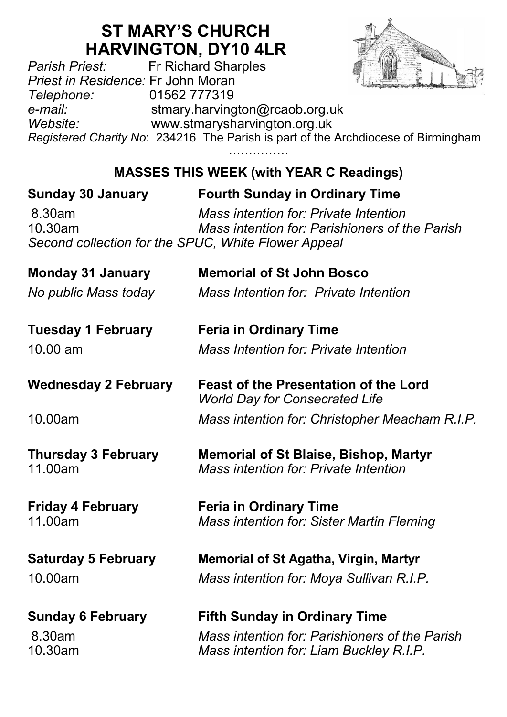# **ST MARY'S CHURCH**

**HARVINGTON, DY10 4LR**<br>Fr Richard Sharples *Parish Priest:* Fr Richard Sharples *Priest in Residence:* Fr John Moran *Telephone:* 01562 777319 *e-mail:* stmary.harvington@rcaob.org.uk *Website:* www.stmarysharvington.org.uk *Registered Charity No*: 234216 The Parish is part of the Archdiocese of Birmingham ……………

**MASSES THIS WEEK (with YEAR C Readings)** 

## **Sunday 30 January Fourth Sunday in Ordinary Time** 8.30am *Mass intention for: Private Intention*  10.30am *Mass intention for: Parishioners of the Parish Second collection for the SPUC, White Flower Appeal* **Monday 31 January Memorial of St John Bosco** *No public Mass today Mass Intention for: Private Intention* **Tuesday 1 February Feria in Ordinary Time** 10.00 am *Mass Intention for: Private Intention* **Wednesday 2 February Feast of the Presentation of the Lord** *World Day for Consecrated Life* 10.00am *Mass intention for: Christopher Meacham R.I.P.* **Thursday 3 February Memorial of St Blaise, Bishop, Martyr** 11.00am *Mass intention for: Private Intention* **Friday 4 February Feria in Ordinary Time** 11.00am *Mass intention for: Sister Martin Fleming* **Saturday 5 February Memorial of St Agatha, Virgin, Martyr** 10.00am *Mass intention for: Moya Sullivan R.I.P.* **Sunday 6 February Fifth Sunday in Ordinary Time** 8.30am *Mass intention for: Parishioners of the Parish* 10.30am *Mass intention for: Liam Buckley R.I.P.*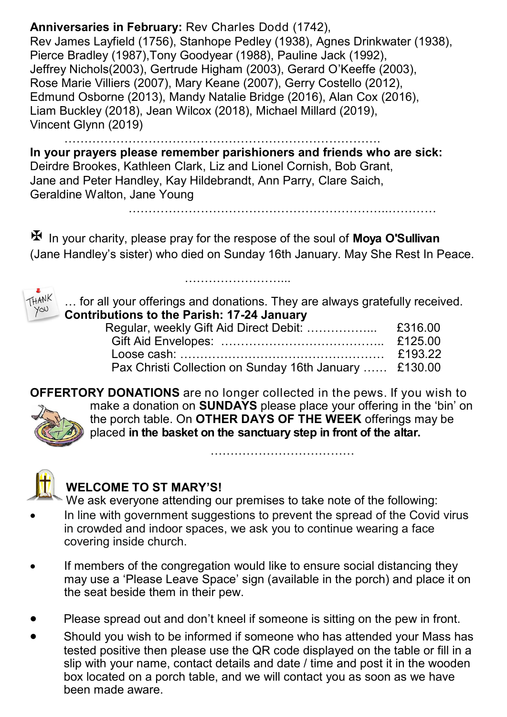**Anniversaries in February:** Rev Charles Dodd (1742), Rev James Layfield (1756), Stanhope Pedley (1938), Agnes Drinkwater (1938), Pierce Bradley (1987),Tony Goodyear (1988), Pauline Jack (1992), Jeffrey Nichols(2003), Gertrude Higham (2003), Gerard O'Keeffe (2003), Rose Marie Villiers (2007), Mary Keane (2007), Gerry Costello (2012), Edmund Osborne (2013), Mandy Natalie Bridge (2016), Alan Cox (2016), Liam Buckley (2018), Jean Wilcox (2018), Michael Millard (2019), Vincent Glynn (2019)

**In your prayers please remember parishioners and friends who are sick:**  Deirdre Brookes, Kathleen Clark, Liz and Lionel Cornish, Bob Grant, Jane and Peter Handley, Kay Hildebrandt, Ann Parry, Clare Saich, Geraldine Walton, Jane Young

…………………………………………………………………….

 In your charity, please pray for the respose of the soul of **Moya O'Sullivan**  (Jane Handley's sister) who died on Sunday 16th January. May She Rest In Peace.

……………………...



… for all your offerings and donations. They are always gratefully received. **Contributions to the Parish: 17-24 January**

………………………………………………………..…………

|  | Pax Christi Collection on Sunday 16th January  £130.00 |  |
|--|--------------------------------------------------------|--|
|  |                                                        |  |

**OFFERTORY DONATIONS** are no longer collected in the pews. If you wish to make a donation on **SUNDAYS** please place your offering in the 'bin' on the porch table. On **OTHER DAYS OF THE WEEK** offerings may be placed **in the basket on the sanctuary step in front of the altar.** 

………………………………



#### **WELCOME TO ST MARY'S!**

We ask everyone attending our premises to take note of the following: In line with government suggestions to prevent the spread of the Covid virus in crowded and indoor spaces, we ask you to continue wearing a face covering inside church.

- If members of the congregation would like to ensure social distancing they may use a 'Please Leave Space' sign (available in the porch) and place it on the seat beside them in their pew.
- Please spread out and don't kneel if someone is sitting on the pew in front.
- Should you wish to be informed if someone who has attended your Mass has tested positive then please use the QR code displayed on the table or fill in a slip with your name, contact details and date / time and post it in the wooden box located on a porch table, and we will contact you as soon as we have been made aware.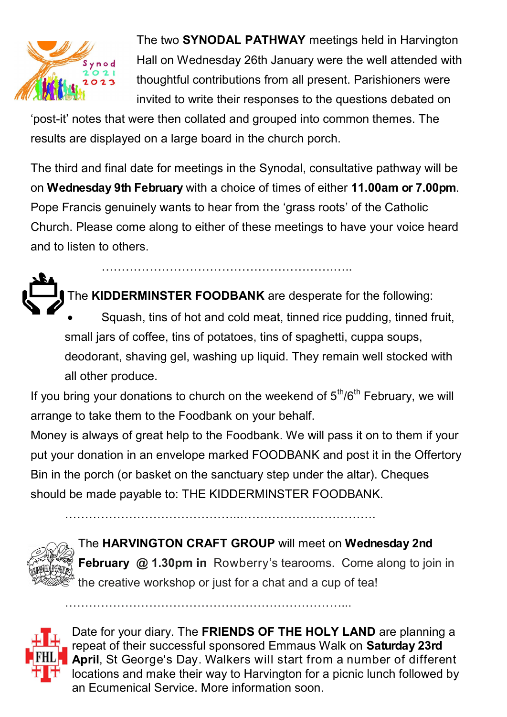

The two **SYNODAL PATHWAY** meetings held in Harvington Hall on Wednesday 26th January were the well attended with thoughtful contributions from all present. Parishioners were invited to write their responses to the questions debated on

'post-it' notes that were then collated and grouped into common themes. The results are displayed on a large board in the church porch.

The third and final date for meetings in the Synodal, consultative pathway will be on **Wednesday 9th February** with a choice of times of either **11.00am or 7.00pm**. Pope Francis genuinely wants to hear from the 'grass roots' of the Catholic Church. Please come along to either of these meetings to have your voice heard and to listen to others.

………………………………………………….…..

The **KIDDERMINSTER FOODBANK** are desperate for the following: Squash, tins of hot and cold meat, tinned rice pudding, tinned fruit, small jars of coffee, tins of potatoes, tins of spaghetti, cuppa soups, deodorant, shaving gel, washing up liquid. They remain well stocked with all other produce.

If you bring your donations to church on the weekend of  $5<sup>th</sup>/6<sup>th</sup>$  February, we will arrange to take them to the Foodbank on your behalf.

Money is always of great help to the Foodbank. We will pass it on to them if your put your donation in an envelope marked FOODBANK and post it in the Offertory Bin in the porch (or basket on the sanctuary step under the altar). Cheques should be made payable to: THE KIDDERMINSTER FOODBANK.

……………………………………..…………………………….

……………………………………………………………...



The **HARVINGTON CRAFT GROUP** will meet on **Wednesday 2nd February @ 1.30pm in** Rowberry's tearooms. Come along to join in the creative workshop or just for a chat and a cup of tea!



Date for your diary. The **FRIENDS OF THE HOLY LAND** are planning a repeat of their successful sponsored Emmaus Walk on **Saturday 23rd April**, St George's Day. Walkers will start from a number of different locations and make their way to Harvington for a picnic lunch followed by an Ecumenical Service. More information soon.